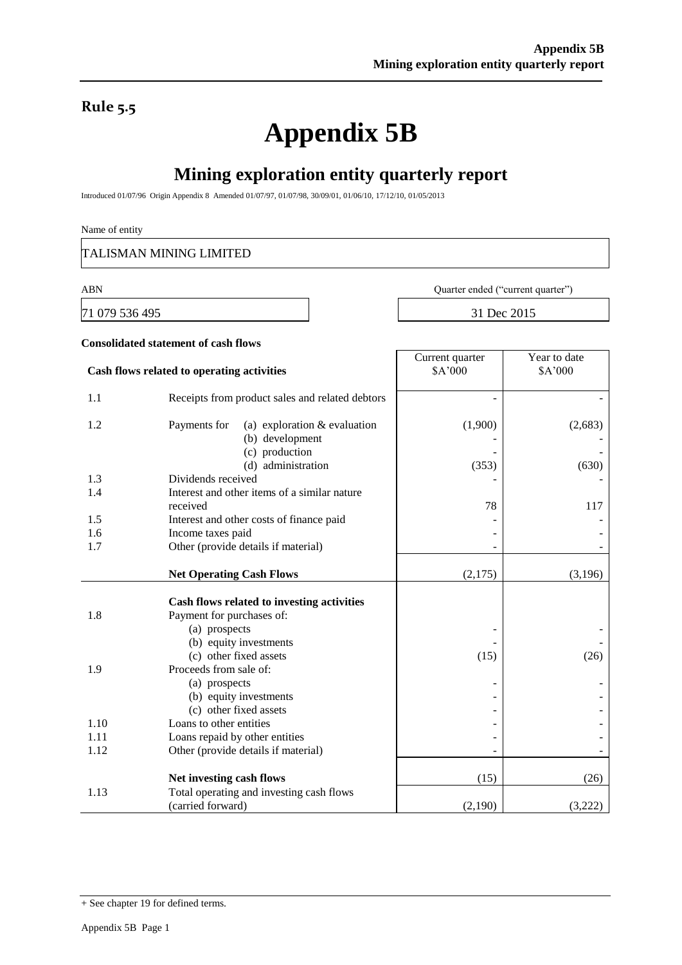### **Rule 5.5**

# **Appendix 5B**

## **Mining exploration entity quarterly report**

Introduced 01/07/96 Origin Appendix 8 Amended 01/07/97, 01/07/98, 30/09/01, 01/06/10, 17/12/10, 01/05/2013

#### Name of entity

TALISMAN MINING LIMITED

71 079 536 495 31 Dec 2015

ABN Quarter ended ("current quarter")

|      | <b>Consolidated statement of cash flows</b>                                                               |                            |                         |  |
|------|-----------------------------------------------------------------------------------------------------------|----------------------------|-------------------------|--|
|      | Cash flows related to operating activities                                                                | Current quarter<br>\$A'000 | Year to date<br>\$A'000 |  |
| 1.1  | Receipts from product sales and related debtors                                                           |                            |                         |  |
| 1.2  | Payments for<br>(a) exploration $&$ evaluation<br>(b) development<br>(c) production<br>(d) administration | (1,900)<br>(353)           | (2,683)<br>(630)        |  |
| 1.3  | Dividends received                                                                                        |                            |                         |  |
| 1.4  | Interest and other items of a similar nature                                                              |                            |                         |  |
|      | received                                                                                                  | 78                         | 117                     |  |
| 1.5  | Interest and other costs of finance paid                                                                  |                            |                         |  |
| 1.6  | Income taxes paid                                                                                         |                            |                         |  |
| 1.7  | Other (provide details if material)                                                                       |                            |                         |  |
|      | <b>Net Operating Cash Flows</b>                                                                           | (2,175)                    | (3,196)                 |  |
| 1.8  | Cash flows related to investing activities<br>Payment for purchases of:<br>(a) prospects                  |                            |                         |  |
| 1.9  | (b) equity investments<br>(c) other fixed assets<br>Proceeds from sale of:<br>(a) prospects               | (15)                       | (26)                    |  |
|      | (b) equity investments<br>(c) other fixed assets                                                          |                            |                         |  |
| 1.10 | Loans to other entities                                                                                   |                            |                         |  |
| 1.11 | Loans repaid by other entities                                                                            |                            |                         |  |
| 1.12 | Other (provide details if material)                                                                       |                            |                         |  |
|      | Net investing cash flows                                                                                  | (15)                       | (26)                    |  |
| 1.13 | Total operating and investing cash flows<br>(carried forward)                                             | (2,190)                    | (3,222)                 |  |

<sup>+</sup> See chapter 19 for defined terms.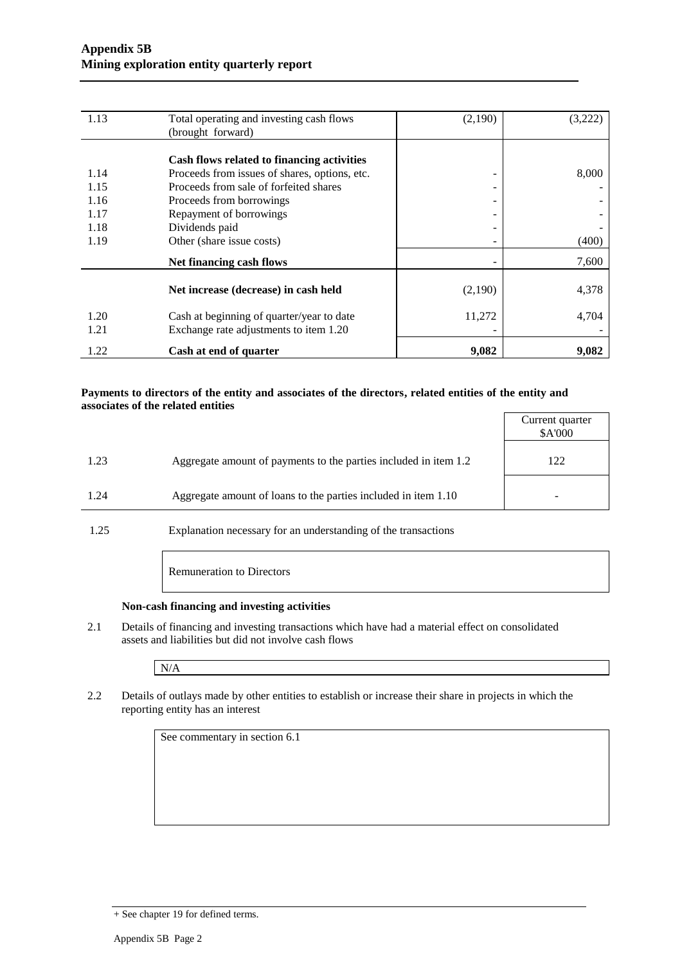| 1.13 | Total operating and investing cash flows      | (2,190)                  | (3,222) |
|------|-----------------------------------------------|--------------------------|---------|
|      | (brought forward)                             |                          |         |
|      |                                               |                          |         |
|      | Cash flows related to financing activities    |                          |         |
| 1.14 | Proceeds from issues of shares, options, etc. | -                        | 8,000   |
| 1.15 | Proceeds from sale of forfeited shares        | -                        |         |
| 1.16 | Proceeds from borrowings                      | -                        |         |
| 1.17 | Repayment of borrowings                       | -                        |         |
| 1.18 | Dividends paid                                |                          |         |
| 1.19 | Other (share issue costs)                     | $\overline{\phantom{a}}$ | (400)   |
|      | Net financing cash flows                      |                          | 7,600   |
|      | Net increase (decrease) in cash held          | (2,190)                  | 4,378   |
| 1.20 | Cash at beginning of quarter/year to date     | 11,272                   | 4,704   |
| 1.21 | Exchange rate adjustments to item 1.20        |                          |         |
| 1.22 | Cash at end of quarter                        | 9,082                    | 9,082   |

#### **Payments to directors of the entity and associates of the directors, related entities of the entity and associates of the related entities**

|      |                                                                  | Current quarter<br>\$A'000 |
|------|------------------------------------------------------------------|----------------------------|
| 1.23 | Aggregate amount of payments to the parties included in item 1.2 | 122                        |
| 1.24 | Aggregate amount of loans to the parties included in item 1.10   |                            |

1.25 Explanation necessary for an understanding of the transactions

Remuneration to Directors

#### **Non-cash financing and investing activities**

2.1 Details of financing and investing transactions which have had a material effect on consolidated assets and liabilities but did not involve cash flows

N/A

2.2 Details of outlays made by other entities to establish or increase their share in projects in which the reporting entity has an interest

See commentary in section 6.1

<sup>+</sup> See chapter 19 for defined terms.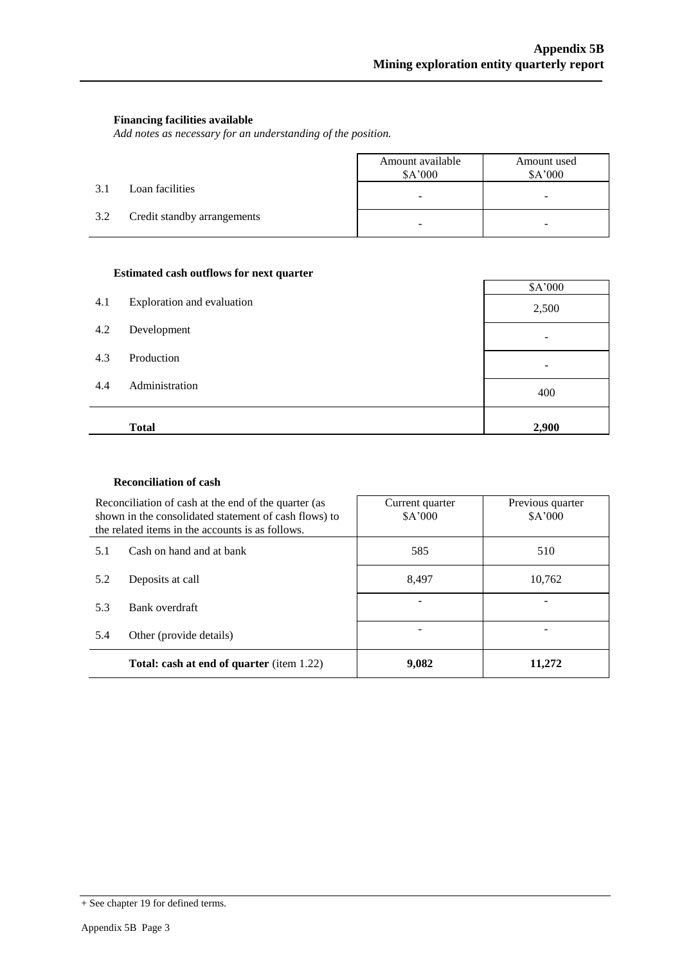#### **Financing facilities available**

*Add notes as necessary for an understanding of the position.*

|     |                             | Amount available<br>\$A'000 | Amount used<br>\$A'000 |
|-----|-----------------------------|-----------------------------|------------------------|
| 3.1 | Loan facilities             | -                           | -                      |
| 3.2 | Credit standby arrangements | -                           |                        |

#### **Estimated cash outflows for next quarter**

| 4.1 | Exploration and evaluation | \$A'000<br>2,500 |
|-----|----------------------------|------------------|
| 4.2 | Development                |                  |
| 4.3 | Production                 |                  |
| 4.4 | Administration             | 400              |
|     | <b>Total</b>               | 2,900            |

#### **Reconciliation of cash**

| Reconciliation of cash at the end of the quarter (as<br>shown in the consolidated statement of cash flows) to<br>the related items in the accounts is as follows. |                                                  | Current quarter<br>\$A'000 | Previous quarter<br>\$A'000 |
|-------------------------------------------------------------------------------------------------------------------------------------------------------------------|--------------------------------------------------|----------------------------|-----------------------------|
| 5.1                                                                                                                                                               | Cash on hand and at bank                         | 585                        | 510                         |
| 5.2                                                                                                                                                               | Deposits at call                                 | 8.497                      | 10,762                      |
| 5.3                                                                                                                                                               | Bank overdraft                                   |                            |                             |
| 5.4                                                                                                                                                               | Other (provide details)                          |                            |                             |
|                                                                                                                                                                   | <b>Total: cash at end of quarter</b> (item 1.22) | 9,082                      | 11.272                      |

<sup>+</sup> See chapter 19 for defined terms.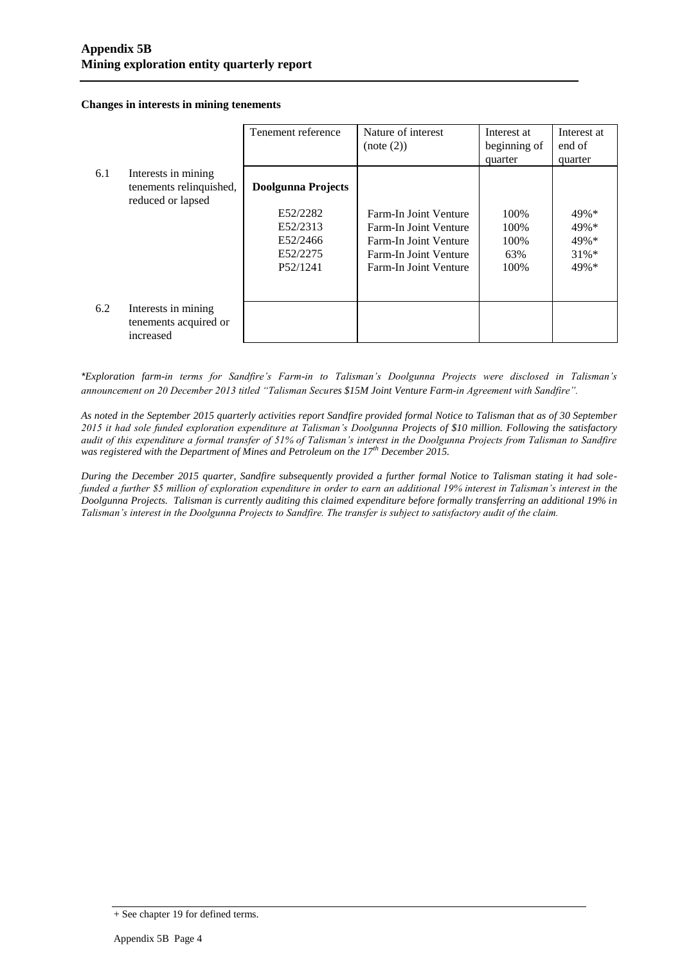**Changes in interests in mining tenements**

|     |                         | Tenement reference | Nature of interest    | Interest at  | Interest at |
|-----|-------------------------|--------------------|-----------------------|--------------|-------------|
|     |                         |                    | (note (2))            | beginning of | end of      |
|     |                         |                    |                       | quarter      | quarter     |
| 6.1 | Interests in mining     |                    |                       |              |             |
|     | tenements relinquished, | Doolgunna Projects |                       |              |             |
|     | reduced or lapsed       |                    |                       |              |             |
|     |                         | E52/2282           | Farm-In Joint Venture | 100\%        | $49\% *$    |
|     |                         | E52/2313           | Farm-In Joint Venture | 100\%        | 49%*        |
|     |                         | E52/2466           | Farm-In Joint Venture | 100\%        | $49\% *$    |
|     |                         | E52/2275           | Farm-In Joint Venture | 63%          | $31\%*$     |
|     |                         | P52/1241           | Farm-In Joint Venture | 100\%        | $49\% *$    |
|     |                         |                    |                       |              |             |
|     |                         |                    |                       |              |             |
| 6.2 | Interests in mining     |                    |                       |              |             |
|     | tenements acquired or   |                    |                       |              |             |
|     | increased               |                    |                       |              |             |

*\*Exploration farm-in terms for Sandfire's Farm-in to Talisman's Doolgunna Projects were disclosed in Talisman's announcement on 20 December 2013 titled "Talisman Secures \$15M Joint Venture Farm-in Agreement with Sandfire".*

*As noted in the September 2015 quarterly activities report Sandfire provided formal Notice to Talisman that as of 30 September 2015 it had sole funded exploration expenditure at Talisman's Doolgunna Projects of \$10 million. Following the satisfactory audit of this expenditure a formal transfer of 51% of Talisman's interest in the Doolgunna Projects from Talisman to Sandfire was registered with the Department of Mines and Petroleum on the 17th December 2015.*

*During the December 2015 quarter, Sandfire subsequently provided a further formal Notice to Talisman stating it had solefunded a further \$5 million of exploration expenditure in order to earn an additional 19% interest in Talisman's interest in the Doolgunna Projects. Talisman is currently auditing this claimed expenditure before formally transferring an additional 19% in Talisman's interest in the Doolgunna Projects to Sandfire. The transfer is subject to satisfactory audit of the claim.*

<sup>+</sup> See chapter 19 for defined terms.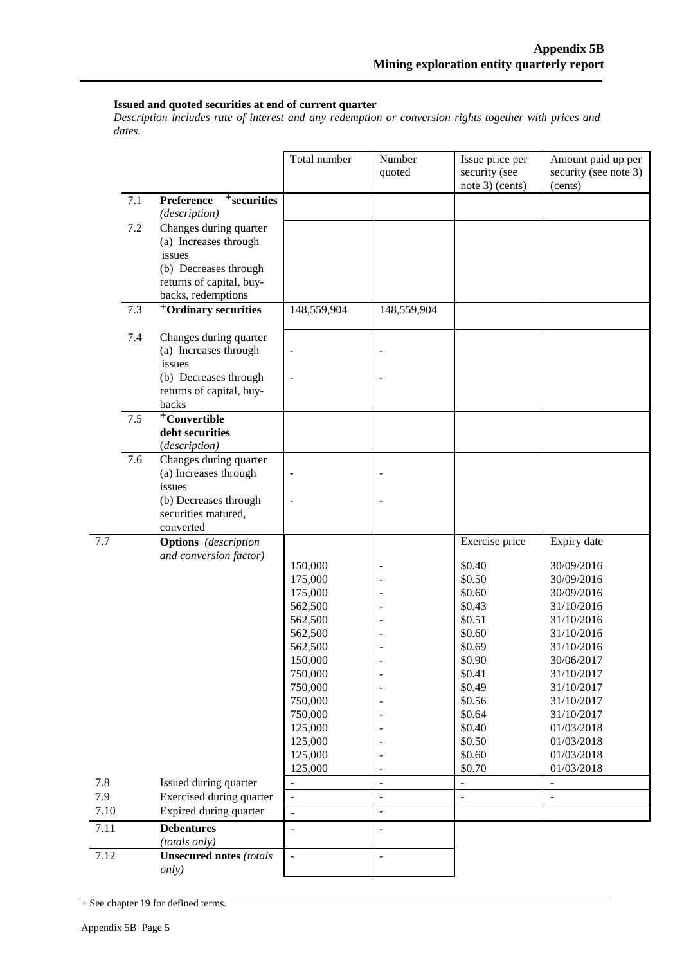#### **Issued and quoted securities at end of current quarter**

*Description includes rate of interest and any redemption or conversion rights together with prices and dates.*

|                   |     |                                                                                    | Total number             | Number<br>quoted         | Issue price per<br>security (see<br>note 3) (cents) | Amount paid up per<br>security (see note 3)<br>(cents) |
|-------------------|-----|------------------------------------------------------------------------------------|--------------------------|--------------------------|-----------------------------------------------------|--------------------------------------------------------|
|                   | 7.1 | <sup>+</sup> securities<br>Preference<br>(description)                             |                          |                          |                                                     |                                                        |
|                   | 7.2 | Changes during quarter<br>(a) Increases through<br>issues                          |                          |                          |                                                     |                                                        |
|                   |     | (b) Decreases through<br>returns of capital, buy-<br>backs, redemptions            |                          |                          |                                                     |                                                        |
|                   | 7.3 | <sup>+</sup> Ordinary securities                                                   | 148,559,904              | 148,559,904              |                                                     |                                                        |
|                   | 7.4 | Changes during quarter<br>(a) Increases through<br>issues<br>(b) Decreases through | $\overline{\phantom{m}}$ |                          |                                                     |                                                        |
|                   |     | returns of capital, buy-<br>backs                                                  |                          |                          |                                                     |                                                        |
|                   | 7.5 | <sup>+</sup> Convertible<br>debt securities<br>(description)                       |                          |                          |                                                     |                                                        |
|                   | 7.6 | Changes during quarter<br>(a) Increases through<br>issues                          | $\overline{\phantom{a}}$ |                          |                                                     |                                                        |
|                   |     | (b) Decreases through<br>securities matured,<br>converted                          | ÷,                       |                          |                                                     |                                                        |
| 7.7               |     | <b>Options</b> (description                                                        |                          |                          | Exercise price                                      | Expiry date                                            |
|                   |     | and conversion factor)                                                             | 150,000                  |                          | \$0.40                                              | 30/09/2016                                             |
|                   |     |                                                                                    | 175,000                  |                          | \$0.50                                              | 30/09/2016                                             |
|                   |     |                                                                                    | 175,000                  |                          | \$0.60                                              | 30/09/2016                                             |
|                   |     |                                                                                    | 562,500                  |                          | \$0.43                                              | 31/10/2016                                             |
|                   |     |                                                                                    | 562,500                  |                          | \$0.51                                              | 31/10/2016                                             |
|                   |     |                                                                                    | 562,500                  |                          | \$0.60                                              | 31/10/2016                                             |
|                   |     |                                                                                    | 562,500<br>150,000       |                          | \$0.69<br>\$0.90                                    | 31/10/2016<br>30/06/2017                               |
|                   |     |                                                                                    | 750,000                  | $\overline{a}$           | \$0.41                                              | 31/10/2017                                             |
|                   |     |                                                                                    | 750,000                  |                          | \$0.49                                              | 31/10/2017                                             |
|                   |     |                                                                                    | 750,000                  |                          | \$0.56                                              | 31/10/2017                                             |
|                   |     |                                                                                    | 750,000                  |                          | \$0.64                                              | 31/10/2017                                             |
|                   |     |                                                                                    | 125,000                  |                          | \$0.40                                              | 01/03/2018                                             |
|                   |     |                                                                                    | 125,000                  |                          | \$0.50                                              | 01/03/2018                                             |
|                   |     |                                                                                    | 125,000                  |                          | \$0.60                                              | 01/03/2018                                             |
|                   |     |                                                                                    | 125,000                  | $\overline{a}$           | \$0.70                                              | 01/03/2018                                             |
| 7.8               |     | Issued during quarter                                                              |                          | $\overline{a}$           |                                                     |                                                        |
| 7.9               |     | Exercised during quarter                                                           | $\Box$                   | $\overline{\phantom{a}}$ | L,                                                  | $\overline{\phantom{a}}$                               |
| 7.10              |     | Expired during quarter                                                             | $\qquad \qquad -$        |                          |                                                     |                                                        |
| $\overline{7.11}$ |     | <b>Debentures</b><br>(totals only)                                                 | $\frac{1}{2}$            | $\overline{\phantom{a}}$ |                                                     |                                                        |
| 7.12              |     | <b>Unsecured notes (totals</b><br>only)                                            | $\bar{\phantom{a}}$      | $\overline{a}$           |                                                     |                                                        |

+ See chapter 19 for defined terms.